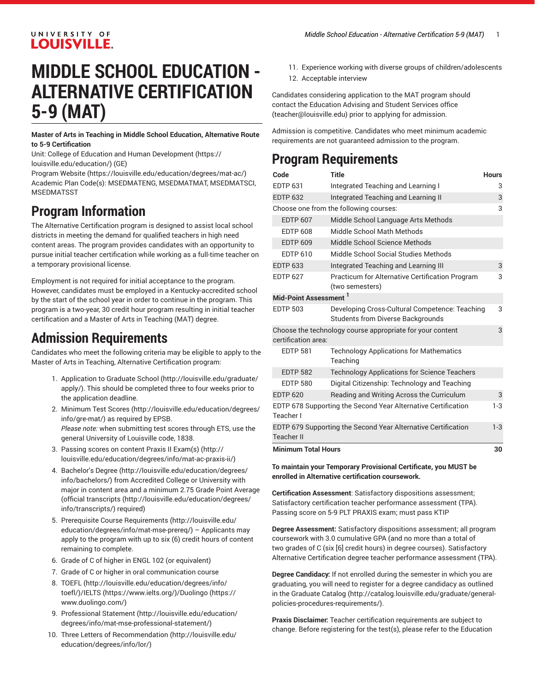#### UNIVERSITY OF **LOUISVILLE.**

# **MIDDLE SCHOOL EDUCATION - ALTERNATIVE CERTIFICATION 5-9 (MAT)**

**Master of Arts in Teaching in Middle School Education, Alternative Route to 5-9 Certification**

Unit: College of Education and Human [Development \(https://](https://louisville.edu/education/) [louisville.edu/education/](https://louisville.edu/education/)) (GE)

[Program](https://louisville.edu/education/degrees/mat-ac/) Website [\(https://louisville.edu/education/degrees/mat-ac/\)](https://louisville.edu/education/degrees/mat-ac/) Academic Plan Code(s): MSEDMATENG, MSEDMATMAT, MSEDMATSCI, **MSEDMATSST** 

## **Program Information**

The Alternative Certification program is designed to assist local school districts in meeting the demand for qualified teachers in high need content areas. The program provides candidates with an opportunity to pursue initial teacher certification while working as a full-time teacher on a temporary provisional license.

Employment is not required for initial acceptance to the program. However, candidates must be employed in a Kentucky-accredited school by the start of the school year in order to continue in the program. This program is a two-year, 30 credit hour program resulting in initial teacher certification and a Master of Arts in Teaching (MAT) degree.

## **Admission Requirements**

Candidates who meet the following criteria may be eligible to apply to the Master of Arts in Teaching, Alternative Certification program:

- 1. [Application to Graduate School](http://louisville.edu/graduate/apply/) ([http://louisville.edu/graduate/](http://louisville.edu/graduate/apply/) [apply/\)](http://louisville.edu/graduate/apply/). This should be completed three to four weeks prior to the application deadline.
- 2. Minimum Test [Scores](http://louisville.edu/education/degrees/info/gre-mat/) [\(http://louisville.edu/education/degrees/](http://louisville.edu/education/degrees/info/gre-mat/) [info/gre-mat/](http://louisville.edu/education/degrees/info/gre-mat/)) as required by EPSB. *Please note:* when submitting test scores through ETS, use the general University of Louisville code, 1838.
- 3. Passing scores on content [Praxis II Exam\(s\)](http://louisville.edu/education/degrees/info/mat-ac-praxis-ii/) ([http://](http://louisville.edu/education/degrees/info/mat-ac-praxis-ii/) [louisville.edu/education/degrees/info/mat-ac-praxis-ii/](http://louisville.edu/education/degrees/info/mat-ac-praxis-ii/))
- 4. [Bachelor's](http://louisville.edu/education/degrees/info/bachelors/) Degree [\(http://louisville.edu/education/degrees/](http://louisville.edu/education/degrees/info/bachelors/) [info/bachelors/\)](http://louisville.edu/education/degrees/info/bachelors/) from Accredited College or University with major in content area and a minimum 2.75 Grade Point Average ([official transcripts](http://louisville.edu/education/degrees/info/transcripts/) ([http://louisville.edu/education/degrees/](http://louisville.edu/education/degrees/info/transcripts/) [info/transcripts/\)](http://louisville.edu/education/degrees/info/transcripts/) required)
- 5. Prerequisite Course [Requirements \(http://louisville.edu/](http://louisville.edu/education/degrees/info/mat-mse-prereq/) [education/degrees/info/mat-mse-prereq/](http://louisville.edu/education/degrees/info/mat-mse-prereq/)) – Applicants may apply to the program with up to six (6) credit hours of content remaining to complete.
- 6. Grade of C of higher in ENGL 102 (or equivalent)
- 7. Grade of C or higher in oral communication course
- 8. [TOEFL \(http://louisville.edu/education/degrees/info/](http://louisville.edu/education/degrees/info/toefl/) [toefl/\)](http://louisville.edu/education/degrees/info/toefl/)/[IELTS \(https://www.ielts.org/\)](https://www.ielts.org/)/[Duolingo](https://www.duolingo.com/) ([https://](https://www.duolingo.com/) [www.duolingo.com/](https://www.duolingo.com/))
- 9. [Professional](http://louisville.edu/education/degrees/info/mat-mse-professional-statement/) Statement [\(http://louisville.edu/education/](http://louisville.edu/education/degrees/info/mat-mse-professional-statement/) [degrees/info/mat-mse-professional-statement/\)](http://louisville.edu/education/degrees/info/mat-mse-professional-statement/)
- 10. Three [Letters of Recommendation \(http://louisville.edu/](http://louisville.edu/education/degrees/info/lor/) [education/degrees/info/lor/\)](http://louisville.edu/education/degrees/info/lor/)
- 11. Experience working with diverse groups of children/adolescents
- 12. Acceptable interview

Candidates considering application to the MAT program should contact the Education Advising and Student Services office [\(teacher@louisville.edu](mailto:teacher@louisville.edu)) prior to applying for admission.

Admission is competitive. Candidates who meet minimum academic requirements are not guaranteed admission to the program.

## **Program Requirements**

| Code                                                                               | <b>Title</b>                                                                        | <b>Hours</b> |
|------------------------------------------------------------------------------------|-------------------------------------------------------------------------------------|--------------|
| <b>EDTP 631</b>                                                                    | Integrated Teaching and Learning I                                                  | 3            |
| <b>EDTP 632</b>                                                                    | Integrated Teaching and Learning II                                                 | 3            |
|                                                                                    | Choose one from the following courses:                                              | 3            |
| <b>EDTP 607</b>                                                                    | Middle School Language Arts Methods                                                 |              |
| <b>EDTP 608</b>                                                                    | Middle School Math Methods                                                          |              |
| <b>EDTP 609</b>                                                                    | Middle School Science Methods                                                       |              |
| <b>EDTP 610</b>                                                                    | Middle School Social Studies Methods                                                |              |
| <b>EDTP 633</b>                                                                    | Integrated Teaching and Learning III                                                | 3            |
| <b>EDTP 627</b>                                                                    | <b>Practicum for Alternative Certification Program</b><br>(two semesters)           | 3            |
| Mid-Point Assessment <sup>1</sup>                                                  |                                                                                     |              |
| <b>EDTP 503</b>                                                                    | Developing Cross-Cultural Competence: Teaching<br>Students from Diverse Backgrounds | 3            |
| Choose the technology course appropriate for your content<br>certification area:   |                                                                                     | 3            |
| <b>EDTP 581</b>                                                                    | <b>Technology Applications for Mathematics</b><br>Teaching                          |              |
| <b>EDTP 582</b>                                                                    | <b>Technology Applications for Science Teachers</b>                                 |              |
| <b>EDTP 580</b>                                                                    | Digital Citizenship: Technology and Teaching                                        |              |
| <b>EDTP 620</b>                                                                    | Reading and Writing Across the Curriculum                                           | 3            |
| EDTP 678 Supporting the Second Year Alternative Certification<br>Teacher I         |                                                                                     | $1-3$        |
| EDTP 679 Supporting the Second Year Alternative Certification<br><b>Teacher II</b> |                                                                                     | $1-3$        |
| <b>Minimum Total Hours</b>                                                         |                                                                                     |              |

**To maintain your Temporary Provisional Certificate, you MUST be enrolled in Alternative certification coursework.**

**Certification Assessment**: Satisfactory dispositions assessment; Satisfactory certification teacher performance assessment (TPA). Passing score on 5-9 PLT PRAXIS exam; must pass KTIP

**Degree Assessment:** Satisfactory dispositions assessment; all program coursework with 3.0 cumulative GPA (and no more than a total of two grades of C (six [6] credit hours) in degree courses). Satisfactory Alternative Certification degree teacher performance assessment (TPA).

**Degree Candidacy:** If not enrolled during the semester in which you are graduating, you will need to register for a degree candidacy as outlined in the [Graduate Catalog](http://catalog.louisville.edu/graduate/general-policies-procedures-requirements/) ([http://catalog.louisville.edu/graduate/general](http://catalog.louisville.edu/graduate/general-policies-procedures-requirements/)[policies-procedures-requirements/\)](http://catalog.louisville.edu/graduate/general-policies-procedures-requirements/).

**Praxis Disclaimer:** Teacher certification requirements are subject to change. Before registering for the test(s), please refer to the Education